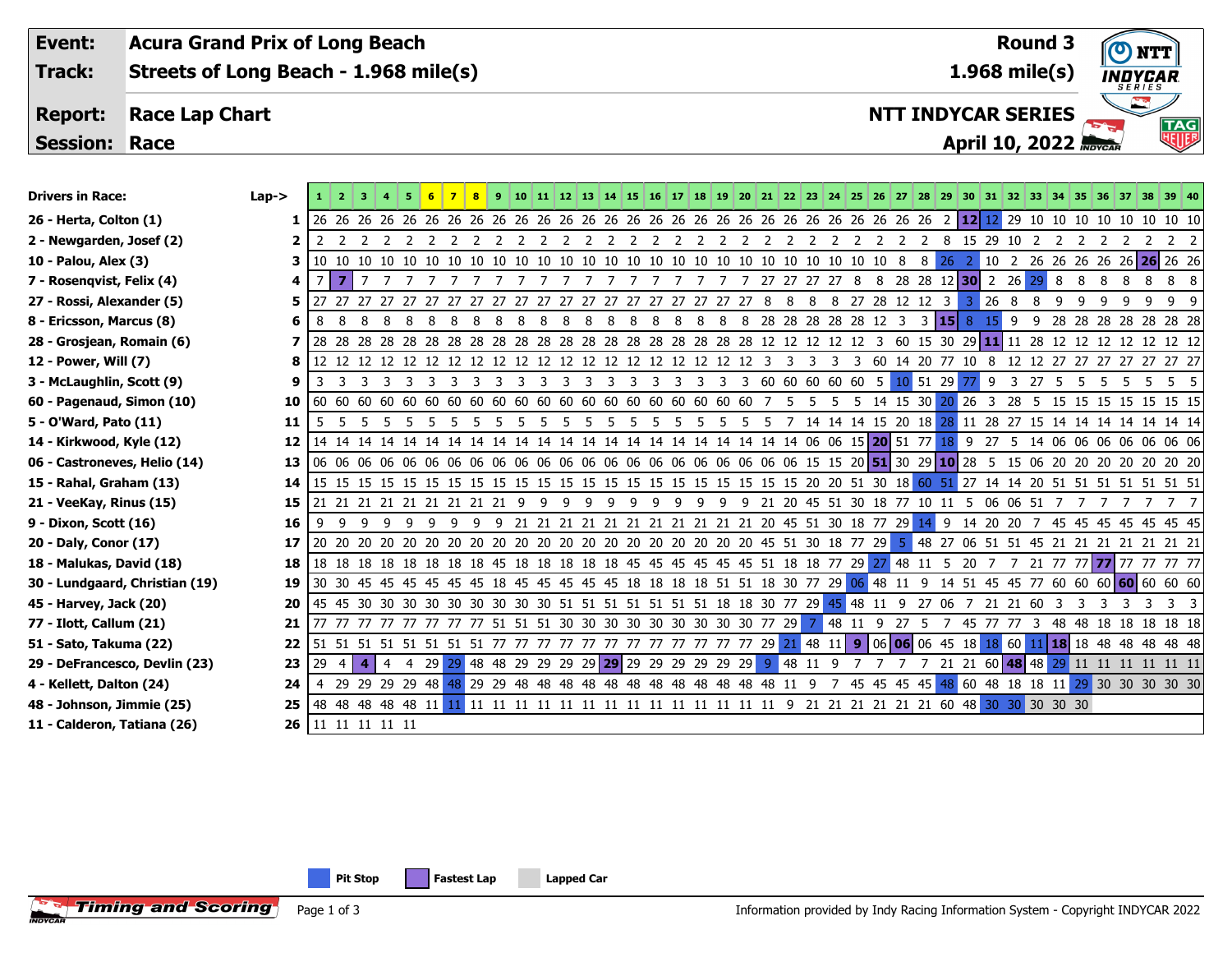| Event:               | <b>Acura Grand Prix of Long Beach</b> | <b>Round 3</b>               | NTT) (                          |
|----------------------|---------------------------------------|------------------------------|---------------------------------|
| Track:               | Streets of Long Beach - 1.968 mile(s) | $1.968$ mile(s)              | <b>INDYCAR</b><br><b>SERIES</b> |
| <b>Report:</b>       | <b>Race Lap Chart</b>                 | <b>NTT INDYCAR SERIES</b>    | $\mathbb{Z}$<br>TAG             |
| <b>Session: Race</b> |                                       | <b>April 10, 2022 Abycar</b> | <b>READER</b>                   |
|                      |                                       |                              |                                 |

| סוועכו און המככ                | ∟aµ-∠          | л. | ∸  |  |
|--------------------------------|----------------|----|----|--|
| 26 - Herta, Colton (1)         | 1              | 26 | 26 |  |
| 2 - Newgarden, Josef (2)       | $\overline{2}$ | 2  | 2  |  |
| 10 - Palou, Alex (3)           | 3              | 10 | 10 |  |
| 7 - Rosenqvist, Felix (4)      | 4              | 7  | 7  |  |
| 27 - Rossi, Alexander (5)      | 5              | 27 | 27 |  |
| 8 - Ericsson, Marcus (8)       | 6              | 8  | 8  |  |
| 28 - Grosjean, Romain (6)      | 7              | 28 | 28 |  |
| 12 - Power, Will (7)           | 8              | 12 | 12 |  |
| 3 - McLaughlin, Scott (9)      | 9              | 3  | 3  |  |
| 60 - Pagenaud, Simon (10)      | 10             | 60 | 60 |  |
| 5 - O'Ward, Pato (11)          | 11             | 5  | 5  |  |
| 14 - Kirkwood, Kyle (12)       | 12             | 14 | 14 |  |
| 06 - Castroneves, Helio (14)   | 13             | 06 | 06 |  |
| 15 - Rahal, Graham (13)        | 14             | 15 | 15 |  |
| 21 - VeeKay, Rinus (15)        | 15             | 21 | 21 |  |
| 9 - Dixon, Scott (16)          | 16             | 9  | 9  |  |
| 20 - Daly, Conor (17)          | 17             | 20 | 20 |  |
| 18 - Malukas, David (18)       | 18             | 18 | 18 |  |
| 30 - Lundgaard, Christian (19) | 19             | 30 | 30 |  |

| <b>Drivers in Race:</b>        | $Lap->$ |     |                | $\vert 3 \vert$      | 5678                                                                                       |     |     |                                                       |    |         |    |                |     |    |                        |  |               |           |  |                                  |                |                |                    |                |              |    |   |                |   | 9 10 11 12 13 14 15 16 17 18 19 20 21 22 23 24 25 26 27 28 29 30 31 32 33 34 35 36 37 38 39 40                 |
|--------------------------------|---------|-----|----------------|----------------------|--------------------------------------------------------------------------------------------|-----|-----|-------------------------------------------------------|----|---------|----|----------------|-----|----|------------------------|--|---------------|-----------|--|----------------------------------|----------------|----------------|--------------------|----------------|--------------|----|---|----------------|---|----------------------------------------------------------------------------------------------------------------|
| 26 - Herta, Colton (1)         |         |     |                |                      |                                                                                            |     |     |                                                       |    |         |    |                |     |    |                        |  |               |           |  |                                  |                |                |                    |                |              |    |   |                |   |                                                                                                                |
| 2 - Newgarden, Josef (2)       |         | 2   |                |                      |                                                                                            |     |     |                                                       |    |         |    |                |     |    |                        |  |               |           |  |                                  |                |                |                    |                |              |    |   |                |   | 2 2 8 15 29 10 2 2 2 2 2 2 2 2                                                                                 |
| 10 - Palou, Alex (3)           |         |     |                |                      |                                                                                            |     |     |                                                       |    |         |    |                |     |    |                        |  |               |           |  |                                  | $8 \, 26 \, 2$ |                |                    |                |              |    |   |                |   | 10 2 26 26 26 26 26 26 26 26                                                                                   |
| 7 - Rosenqvist, Felix (4)      |         | 7   | $\overline{7}$ | 7                    |                                                                                            |     |     |                                                       |    |         |    |                |     |    |                        |  | 27 27 27 27 8 |           |  |                                  |                |                | 8 28 28 12 30 2 26 | 29             | 8            | 8  | 8 |                | 8 | 8<br>-8                                                                                                        |
| 27 - Rossi, Alexander (5)      |         |     |                | 27 27 27 27 27       | -27                                                                                        | -27 |     | 27 27 27 27 27                                        |    |         | 27 |                |     |    | 27 27 27 27 27 27 27 8 |  | 8             |           |  | 8 8 27 28 12 12 3                |                | $\overline{3}$ | 268                | - 8            | -9           | -9 | q | q              | 9 | 99                                                                                                             |
| 8 - Ericsson, Marcus (8)       |         | 8   | -8             | -8<br>8 <sup>8</sup> | 8888                                                                                       |     | - 8 |                                                       |    | 8 8 8 8 |    | 8 <sup>8</sup> | 88  |    | 8                      |  |               |           |  | 8 8 8 28 28 28 28 28 12 3 3 15 8 |                |                | $15$ 9             | $\overline{9}$ |              |    |   |                |   | 28 28 28 28 28 28 28                                                                                           |
| 28 - Grosjean, Romain (6)      |         |     |                |                      |                                                                                            |     |     |                                                       |    |         |    |                |     |    |                        |  |               |           |  |                                  |                |                |                    |                |              |    |   |                |   |                                                                                                                |
| 12 - Power, Will (7)           |         |     |                |                      |                                                                                            |     |     |                                                       |    |         |    |                |     |    |                        |  |               |           |  |                                  |                |                |                    |                |              |    |   |                |   |                                                                                                                |
| 3 - McLaughlin, Scott (9)      | 9       | 3   |                |                      | 3 3 3 3 3 3 3 3 3 3 3 3 3 3 3 3 3 3 3 60 60 60 60 60 5 10 51 29 77                         |     |     |                                                       |    |         |    |                |     |    |                        |  |               |           |  |                                  |                |                |                    |                | 9 3 27 5 5   |    |   | 5 5 5          |   | 5 5                                                                                                            |
| 60 - Pagenaud, Simon (10)      | 10      |     |                |                      |                                                                                            |     |     |                                                       |    |         |    |                |     |    |                        |  |               |           |  |                                  |                |                |                    |                |              |    |   |                |   |                                                                                                                |
| 5 - O'Ward, Pato (11)          | 11      | - 5 |                | 55                   | 55                                                                                         | 555 |     |                                                       | 55 | 55      |    |                | 555 |    | 55                     |  |               |           |  |                                  |                |                |                    |                |              |    |   |                |   | 5 5 5 7 14 14 14 15 20 18 28 11 28 27 15 14 14 14 14 14 14 14                                                  |
| 14 - Kirkwood, Kyle (12)       | 12      |     |                |                      |                                                                                            |     |     |                                                       |    |         |    |                |     |    |                        |  |               |           |  |                                  |                |                |                    |                |              |    |   |                |   |                                                                                                                |
| 06 - Castroneves, Helio (14)   | 13      |     |                |                      |                                                                                            |     |     |                                                       |    |         |    |                |     |    |                        |  |               |           |  |                                  |                |                |                    |                |              |    |   |                |   |                                                                                                                |
| 15 - Rahal, Graham (13)        | 14      |     |                |                      |                                                                                            |     |     |                                                       |    |         |    |                |     |    |                        |  |               |           |  |                                  |                |                |                    |                |              |    |   |                |   |                                                                                                                |
| 21 - VeeKay, Rinus (15)        | 15      |     |                |                      | 21 21 21 21 21 21 21 21 21 9 9                                                             |     |     |                                                       |    | 99      |    | - 9            | -9  | -9 | 99                     |  |               |           |  |                                  |                |                |                    |                |              |    |   |                |   | 9 9 21 20 45 51 30 18 77 10 11 5 06 06 51 7 7 7 7 7 7 7                                                        |
| 9 - Dixon, Scott (16)          | 16      | . 9 |                |                      |                                                                                            |     |     |                                                       |    |         |    |                |     |    |                        |  |               |           |  |                                  |                |                |                    |                |              |    |   |                |   | 9 9 9 9 9 9 9 21 21 21 21 21 21 21 21 21 21 21 21 20 45 51 30 18 77 29 14 9 14 20 20 7 45 45 45 45 45 45 45 45 |
| 20 - Daly, Conor (17)          | 17      |     |                |                      |                                                                                            |     |     |                                                       |    |         |    |                |     |    |                        |  |               |           |  |                                  |                |                |                    |                |              |    |   |                |   |                                                                                                                |
| 18 - Malukas, David (18)       | 18      |     |                |                      |                                                                                            |     |     |                                                       |    |         |    |                |     |    |                        |  |               |           |  |                                  |                |                |                    |                |              |    |   |                |   |                                                                                                                |
| 30 - Lundgaard, Christian (19) | 19      |     |                |                      |                                                                                            |     |     |                                                       |    |         |    |                |     |    |                        |  |               |           |  |                                  |                |                |                    |                |              |    |   |                |   |                                                                                                                |
| 45 - Harvey, Jack (20)         | 20      |     |                |                      | 45 45 30 30 30 30 30 30 30 30 30 51 51 51 51 51 51 51 51 18 18 30 77 29 45 48 11 9 27 06 7 |     |     |                                                       |    |         |    |                |     |    |                        |  |               |           |  |                                  |                |                |                    |                | 21 21 60 3 3 |    | 3 | $\overline{3}$ |   | 3 3 3                                                                                                          |
| 77 - Ilott, Callum (21)        | 21      |     |                |                      | 77 77 77 77 77 77 77 77 77 51 51 51 30 30 30 30 30 30 30 30 30 77 29                       |     |     |                                                       |    |         |    |                |     |    |                        |  |               | 7 48 11 9 |  | 27 5                             |                |                | 45 77 77           | $\overline{3}$ |              |    |   |                |   | 48 48 18 18 18 18 18                                                                                           |
| 51 - Sato, Takuma (22)         | 22      |     |                |                      |                                                                                            |     |     |                                                       |    |         |    |                |     |    |                        |  |               |           |  |                                  |                |                |                    |                |              |    |   |                |   |                                                                                                                |
| 29 - DeFrancesco, Devlin (23)  | 23      | 29  |                | 4                    | 4 29                                                                                       | 29  |     | 48 48 29 29 29 29 29 29 29 29 29 29 29 29 9 48 11 9 7 |    |         |    |                |     |    |                        |  |               |           |  |                                  |                |                |                    |                |              |    |   |                |   | 7 21 21 60 48 48 29 11 11 11 11 11 11                                                                          |
| 4 - Kellett, Dalton (24)       | 24      |     |                |                      |                                                                                            |     |     |                                                       |    |         |    |                |     |    |                        |  |               |           |  |                                  |                |                |                    |                |              |    |   |                |   | 7 45 45 45 45 48 60 48 18 18 11 29 30 30 30 30 30                                                              |
| 48 - Johnson, Jimmie (25)      | 25      |     |                |                      |                                                                                            |     |     |                                                       |    |         |    |                |     |    |                        |  |               |           |  |                                  |                |                |                    |                |              |    |   |                |   |                                                                                                                |
| 11 - Calderon, Tatiana (26)    | 26      |     |                | 11 11 11 11 11       |                                                                                            |     |     |                                                       |    |         |    |                |     |    |                        |  |               |           |  |                                  |                |                |                    |                |              |    |   |                |   |                                                                                                                |

**Pit Stop Fastest Lap Lapped Car**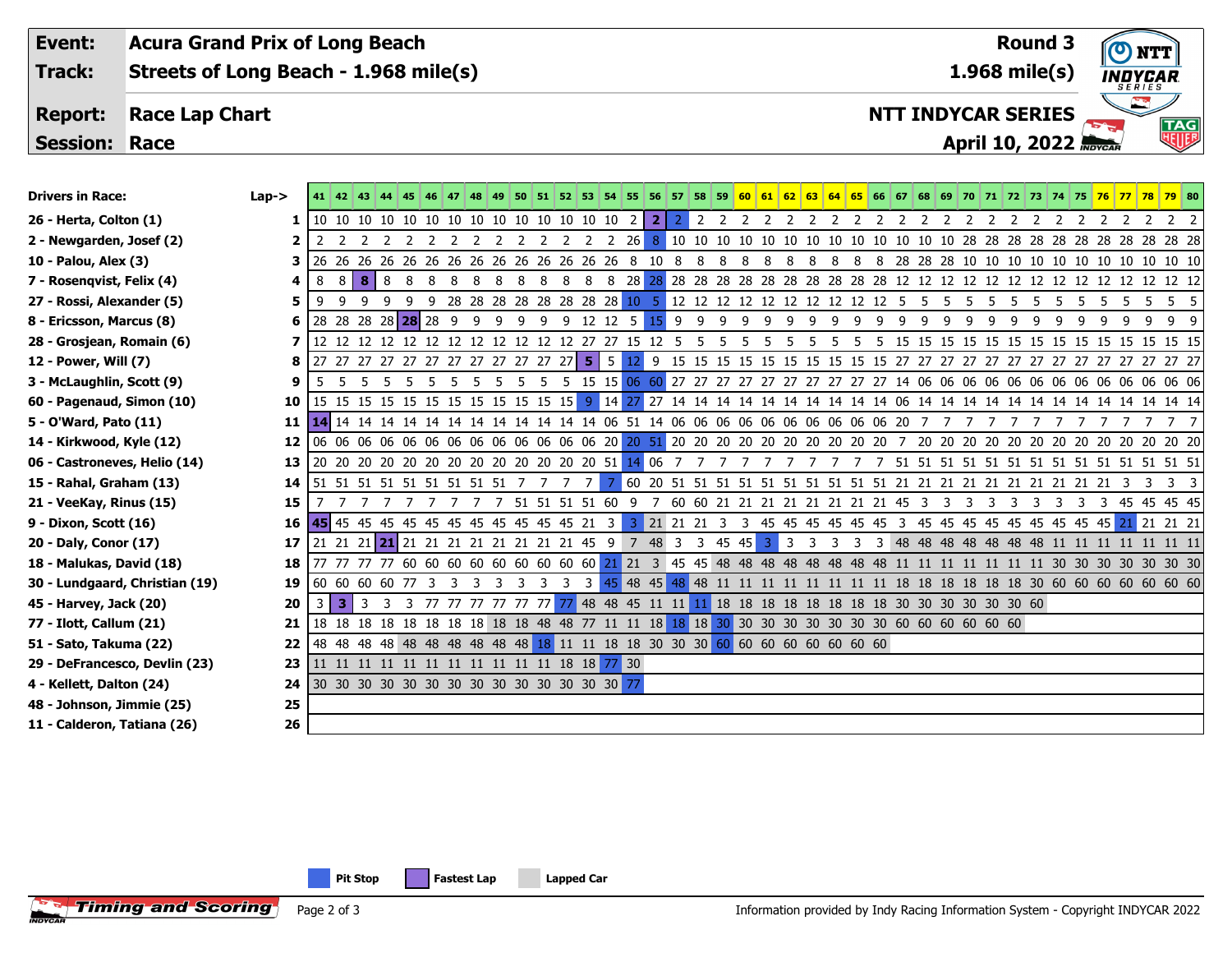**Event: Acura Grand Prix of Long Beach Round 3** $\boldsymbol{\sigma}$ **1.968 mile(s) Track: Streets of Long Beach - 1.968 mile(s) INDYCAR Report: Race Lap Chart NTT INDYCAR SERIES April 10, 2022**

**Session: Race**

| <b>Drivers in Race:</b>        | $Lap - >$ |        |       |                                  |    |   | 47<br>  48                                                                                      |    |                         |                |                         |                                                         |                 |                |        |     |     |     |     |           |    |     |    |  |          |   |    |    |    |     |   | 49 50 51 52 53 54 55 56 57 58 59 60 61 62 63 64 65 66 67 68 69 70 71 72 73 74 75 76 77 78 79 80                              |
|--------------------------------|-----------|--------|-------|----------------------------------|----|---|-------------------------------------------------------------------------------------------------|----|-------------------------|----------------|-------------------------|---------------------------------------------------------|-----------------|----------------|--------|-----|-----|-----|-----|-----------|----|-----|----|--|----------|---|----|----|----|-----|---|------------------------------------------------------------------------------------------------------------------------------|
| 26 - Herta, Colton (1)         | 1         |        |       |                                  |    |   |                                                                                                 |    |                         |                |                         |                                                         | $\overline{2}$  | 2 <sup>1</sup> |        |     |     |     |     |           |    |     |    |  |          |   |    |    |    |     |   |                                                                                                                              |
| 2 - Newgarden, Josef (2)       |           |        |       |                                  |    |   | 2 2 2 2 2 2 2 2 2 2                                                                             |    |                         |                |                         | 2 2 2 2 2 6                                             |                 | 8 <sup>1</sup> |        |     |     |     |     |           |    |     |    |  |          |   |    |    |    |     |   | 10 10 10 10 10 10 10 10 10 10 10 10 10 28 28 28 28 28 28 28 28 28 28 28                                                      |
| 10 - Palou, Alex (3)           | 3.        | 26 26  |       |                                  |    |   | 26 26 26 26 26 26 26 26 26 26 26 26 8                                                           |    |                         |                |                         |                                                         |                 |                | 10 8   | -8  | 8   | - 8 | 8   | -8<br>-8  | 8  | - 8 | 8  |  |          |   |    |    |    |     |   | 28 28 28 10 10 10 10 10 10 10 10 10 10 10 10                                                                                 |
| 7 - Rosenqvist, Felix (4)      |           | 8      | -8    | 8 <sup>1</sup><br>-8             | 8  | 8 | 8<br>8                                                                                          | 8  | 8                       | 8              | 8                       |                                                         |                 |                |        |     |     |     |     |           |    |     |    |  |          |   |    |    |    |     |   |                                                                                                                              |
| 27 - Rossi, Alexander (5)      | 5         | 9      | - 9   | -9<br>-9                         | 9  |   | 9 28 28 28 28 28 28 28 28 20 10 5 12 12 12 12 12 12 12 12 12 12 15 5 5                          |    |                         |                |                         |                                                         |                 |                |        |     |     |     |     |           |    |     |    |  | -5<br>-5 | 5 | -5 | -5 | -5 |     |   | 5 5 5 5 5                                                                                                                    |
| 8 - Ericsson, Marcus (8)       | 6         |        |       | 28 28 28 28 28 28 9              |    |   | -9                                                                                              | -9 | -9                      | -9             |                         | 9 12 12 5                                               |                 |                | $15$ 9 | 9   | 99  |     | 9   | - 9<br>q  | 9  | q   | -9 |  |          |   |    |    |    | - q | 9 | 9                                                                                                                            |
| 28 - Grosjean, Romain (6)      |           |        |       |                                  |    |   | 12 12 12 12 12 12 12 12 12 12 12 12 12 27 27 15 12 5                                            |    |                         |                |                         |                                                         |                 |                |        | - 5 | - 5 | -5  | -5. | - 5<br>-5 | -5 | -5. |    |  |          |   |    |    |    |     |   |                                                                                                                              |
| 12 - Power, Will (7)           | 8         |        |       |                                  |    |   | 27 27 27 27 27 27 27 27 27 27 27 27 27 5 5                                                      |    |                         |                |                         |                                                         | 12 <sup>1</sup> |                |        |     |     |     |     |           |    |     |    |  |          |   |    |    |    |     |   |                                                                                                                              |
| 3 - McLaughlin, Scott (9)      |           | 5      | 55    | - 5                              | 55 |   | - 5<br>- 5                                                                                      |    | -5                      |                |                         |                                                         |                 |                |        |     |     |     |     |           |    |     |    |  |          |   |    |    |    |     |   | 5 5 15 15 06 60 27 27 27 27 27 27 27 27 27 27 27 14 06 06 06 06 06 06 06 06 06 06 06 06 06                                   |
| 60 - Pagenaud, Simon (10)      | 10        |        |       |                                  |    |   |                                                                                                 |    |                         |                |                         |                                                         |                 |                |        |     |     |     |     |           |    |     |    |  |          |   |    |    |    |     |   | 15 15 15 15 15 15 15 15 15 15 15 15 9 14 27 27 14 14 14 14 14 14 14 14 14 14 16 14 14 14 14 14 14 14 14 14 14 14 14          |
| 5 - O'Ward, Pato (11)          | 11        |        |       |                                  |    |   |                                                                                                 |    |                         |                |                         |                                                         |                 |                |        |     |     |     |     |           |    |     |    |  | 7        |   |    |    |    |     |   | 7 7 7                                                                                                                        |
| 14 - Kirkwood, Kyle (12)       | 12        |        |       |                                  |    |   |                                                                                                 |    |                         |                |                         |                                                         |                 |                |        |     |     |     |     |           |    |     |    |  |          |   |    |    |    |     |   |                                                                                                                              |
| 06 - Castroneves, Helio (14)   | 13        |        |       |                                  |    |   |                                                                                                 |    |                         |                |                         |                                                         |                 |                |        |     |     |     |     |           |    |     |    |  |          |   |    |    |    |     |   |                                                                                                                              |
| 15 - Rahal, Graham (13)        | 14        |        |       |                                  |    |   | 51 51 51 51 51 51 51 51 51 7 7 7                                                                |    |                         |                |                         | - 7 I                                                   |                 |                |        |     |     |     |     |           |    |     |    |  |          |   |    |    |    |     |   | 7 60 20 51 51 51 51 51 51 51 51 51 51 21 21 21 21 21 21 21 21 21 21 23 3 3 3                                                 |
| 21 - VeeKay, Rinus (15)        | 15        |        |       |                                  |    |   | 77777                                                                                           |    |                         |                |                         | 7 51 51 51 51 60 9 7 60 60 21 21 21 21 21 21 21 21 45 3 |                 |                |        |     |     |     |     |           |    |     |    |  |          |   |    |    |    |     |   | 3 3 3 3 3 3 3 3 45 45 45 45                                                                                                  |
| 9 - Dixon, Scott (16)          |           |        |       |                                  |    |   |                                                                                                 |    |                         |                |                         |                                                         |                 |                |        |     |     |     |     |           |    |     |    |  |          |   |    |    |    |     |   | 3 21 21 21 3 3 45 45 45 45 45 45 3 45 45 45 45 45 45 45 45 45 45 21 21 21 21                                                 |
| 20 - Daly, Conor (17)          | 17        |        |       |                                  |    |   | 21 21 21 21 21 21 21 21 21 21 21 21 21 45 9 7 48 3 3 45 45 3 3 3                                |    |                         |                |                         |                                                         |                 |                |        |     |     |     |     |           | 3  |     |    |  |          |   |    |    |    |     |   | 3 3 48 48 48 48 48 48 48 11 11 11 11 11 11 11                                                                                |
| 18 - Malukas, David (18)       | 18        |        |       |                                  |    |   |                                                                                                 |    |                         |                |                         |                                                         |                 |                |        |     |     |     |     |           |    |     |    |  |          |   |    |    |    |     |   | 77 77 77 77 60 60 60 60 60 60 60 60 60 60 21 21 3 45 45 48 48 48 48 48 48 48 48 48 11 11 11 11 11 11 11 30 30 30 30 30 30 30 |
| 30 - Lundgaard, Christian (19) | 19        |        |       | 60 60 60 60 77 3                 |    |   | $\overline{\mathbf{3}}$<br>- 3                                                                  | -3 | $\overline{\mathbf{3}}$ | $\overline{3}$ | $\overline{\mathbf{3}}$ | 3 <sup>1</sup>                                          |                 |                |        |     |     |     |     |           |    |     |    |  |          |   |    |    |    |     |   |                                                                                                                              |
| 45 - Harvey, Jack (20)         | 20        | $-3 -$ | l 3 l | $\overline{3}$<br>$\overline{3}$ |    |   | 3 77 77 77 77 77 77 77 48 48 45 11 11 11 18 18 18 18 18 18 18 18 30 30 30 30 30 60              |    |                         |                |                         |                                                         |                 |                |        |     |     |     |     |           |    |     |    |  |          |   |    |    |    |     |   |                                                                                                                              |
| 77 - Ilott, Callum (21)        | 21        |        |       |                                  |    |   | 18 18 18 18 18 18 18 18 18 18 18 18 48 57 11 11 18 18 18 30 30 30 30 30 30 30 60 60 60 60 60 60 |    |                         |                |                         |                                                         |                 |                |        |     |     |     |     |           |    |     |    |  |          |   |    |    |    |     |   |                                                                                                                              |
| 51 - Sato, Takuma (22)         | 22        |        |       |                                  |    |   | 48 48 48 48 48 48 48 48 48 48 48 18 11 11 18 18 30 30 30 60 60 60 60 60 60 60 60                |    |                         |                |                         |                                                         |                 |                |        |     |     |     |     |           |    |     |    |  |          |   |    |    |    |     |   |                                                                                                                              |
| 29 - DeFrancesco, Devlin (23)  | 23        |        |       |                                  |    |   |                                                                                                 |    |                         |                |                         |                                                         |                 |                |        |     |     |     |     |           |    |     |    |  |          |   |    |    |    |     |   |                                                                                                                              |
| 4 - Kellett, Dalton (24)       | 24        |        |       |                                  |    |   |                                                                                                 |    |                         |                |                         |                                                         |                 |                |        |     |     |     |     |           |    |     |    |  |          |   |    |    |    |     |   |                                                                                                                              |
| 48 - Johnson, Jimmie (25)      | 25        |        |       |                                  |    |   |                                                                                                 |    |                         |                |                         |                                                         |                 |                |        |     |     |     |     |           |    |     |    |  |          |   |    |    |    |     |   |                                                                                                                              |
| 11 - Calderon, Tatiana (26)    | 26        |        |       |                                  |    |   |                                                                                                 |    |                         |                |                         |                                                         |                 |                |        |     |     |     |     |           |    |     |    |  |          |   |    |    |    |     |   |                                                                                                                              |

**Pit Stop Fastest Lap Lapped Car**

NTT

**TAG**<br>William

 $\mathbf{E}$ 

**Timing and Scoring** Page 2 of 3